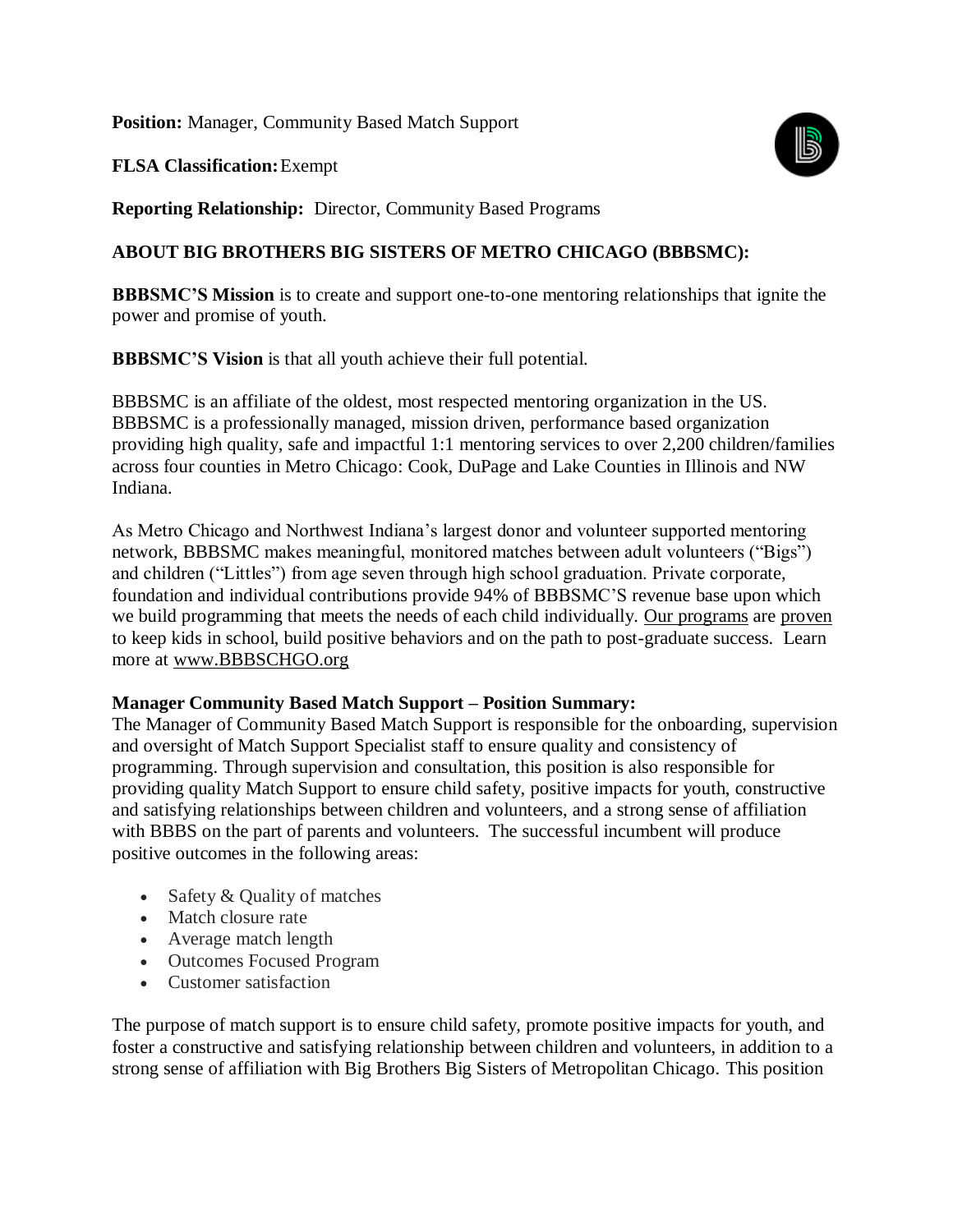**Position:** Manager, Community Based Match Support

**FLSA Classification:**Exempt



**Reporting Relationship:** Director, Community Based Programs

## **ABOUT BIG BROTHERS BIG SISTERS OF METRO CHICAGO (BBBSMC):**

**BBBSMC'S Mission** is to create and support one-to-one mentoring relationships that ignite the power and promise of youth.

**BBBSMC'S Vision** is that all youth achieve their full potential.

BBBSMC is an affiliate of the oldest, most respected mentoring organization in the US. BBBSMC is a professionally managed, mission driven, performance based organization providing high quality, safe and impactful 1:1 mentoring services to over 2,200 children/families across four counties in Metro Chicago: Cook, DuPage and Lake Counties in Illinois and NW Indiana.

As Metro Chicago and Northwest Indiana's largest donor and volunteer supported mentoring network, BBBSMC makes meaningful, monitored matches between adult volunteers ("Bigs") and children ("Littles") from age seven through high school graduation. Private corporate, foundation and individual contributions provide 94% of BBBSMC'S revenue base upon which we build programming that meets the needs of each child individually. [Our programs](https://bbbschgo.org/programs/) are [proven](https://bbbschgo.org/wp-content/uploads/2018/03/BBBS-Research-1-1.pdf) to keep kids in school, build positive behaviors and on the path to post-graduate success. Learn more at [www.BBBSCHGO.org](http://www.bbbschgo.org/)

#### **Manager Community Based Match Support – Position Summary:**

The Manager of Community Based Match Support is responsible for the onboarding, supervision and oversight of Match Support Specialist staff to ensure quality and consistency of programming. Through supervision and consultation, this position is also responsible for providing quality Match Support to ensure child safety, positive impacts for youth, constructive and satisfying relationships between children and volunteers, and a strong sense of affiliation with BBBS on the part of parents and volunteers. The successful incumbent will produce positive outcomes in the following areas:

- Safety & Quality of matches
- Match closure rate
- Average match length
- Outcomes Focused Program
- Customer satisfaction

The purpose of match support is to ensure child safety, promote positive impacts for youth, and foster a constructive and satisfying relationship between children and volunteers, in addition to a strong sense of affiliation with Big Brothers Big Sisters of Metropolitan Chicago. This position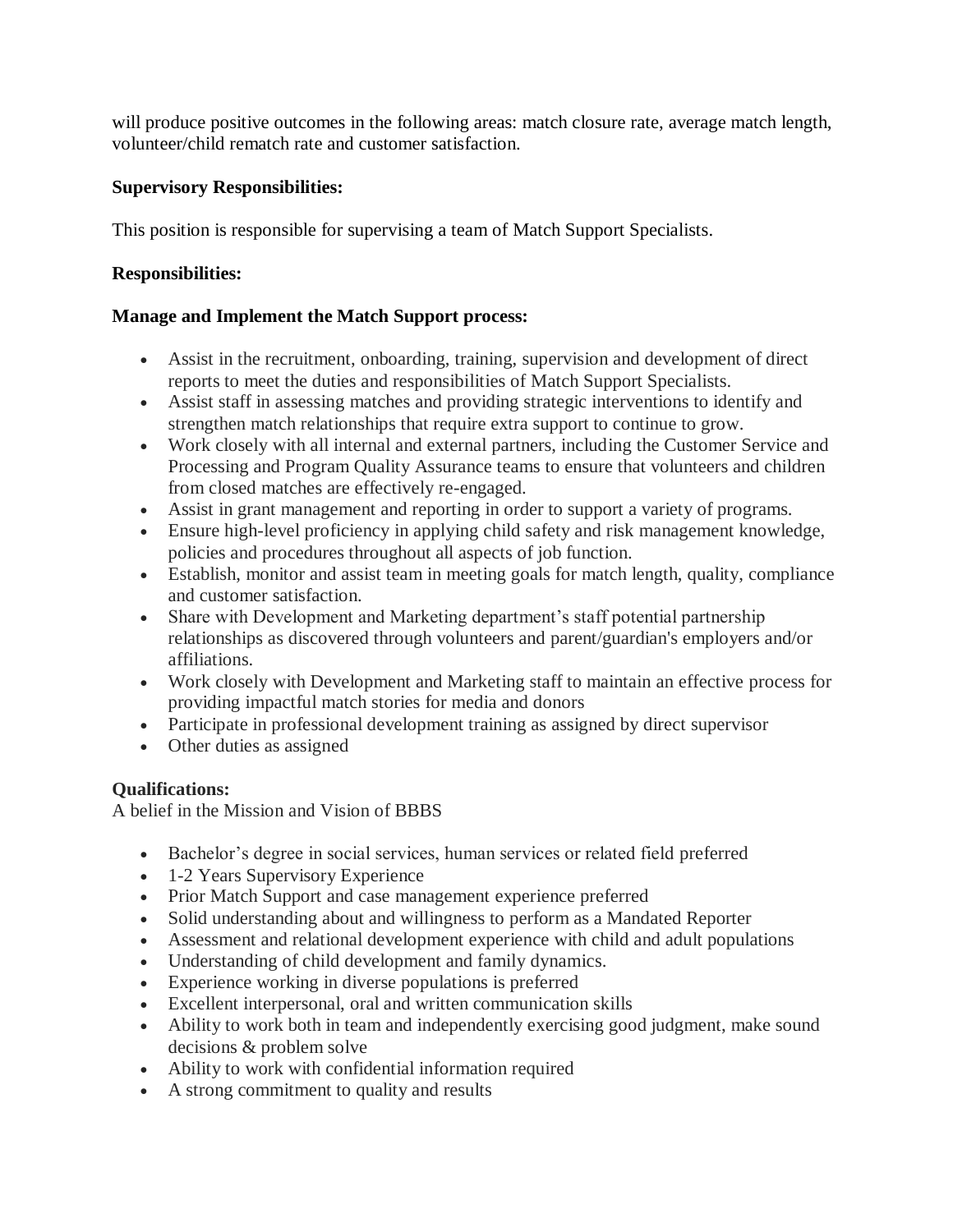will produce positive outcomes in the following areas: match closure rate, average match length, volunteer/child rematch rate and customer satisfaction.

## **Supervisory Responsibilities:**

This position is responsible for supervising a team of Match Support Specialists.

### **Responsibilities:**

#### **Manage and Implement the Match Support process:**

- Assist in the recruitment, onboarding, training, supervision and development of direct reports to meet the duties and responsibilities of Match Support Specialists.
- Assist staff in assessing matches and providing strategic interventions to identify and strengthen match relationships that require extra support to continue to grow.
- Work closely with all internal and external partners, including the Customer Service and Processing and Program Quality Assurance teams to ensure that volunteers and children from closed matches are effectively re-engaged.
- Assist in grant management and reporting in order to support a variety of programs.
- Ensure high-level proficiency in applying child safety and risk management knowledge, policies and procedures throughout all aspects of job function.
- Establish, monitor and assist team in meeting goals for match length, quality, compliance and customer satisfaction.
- Share with Development and Marketing department's staff potential partnership relationships as discovered through volunteers and parent/guardian's employers and/or affiliations.
- Work closely with Development and Marketing staff to maintain an effective process for providing impactful match stories for media and donors
- Participate in professional development training as assigned by direct supervisor
- Other duties as assigned

## **Qualifications:**

A belief in the Mission and Vision of BBBS

- Bachelor's degree in social services, human services or related field preferred
- 1-2 Years Supervisory Experience
- Prior Match Support and case management experience preferred
- Solid understanding about and willingness to perform as a Mandated Reporter
- Assessment and relational development experience with child and adult populations
- Understanding of child development and family dynamics.
- Experience working in diverse populations is preferred
- Excellent interpersonal, oral and written communication skills
- Ability to work both in team and independently exercising good judgment, make sound decisions & problem solve
- Ability to work with confidential information required
- A strong commitment to quality and results